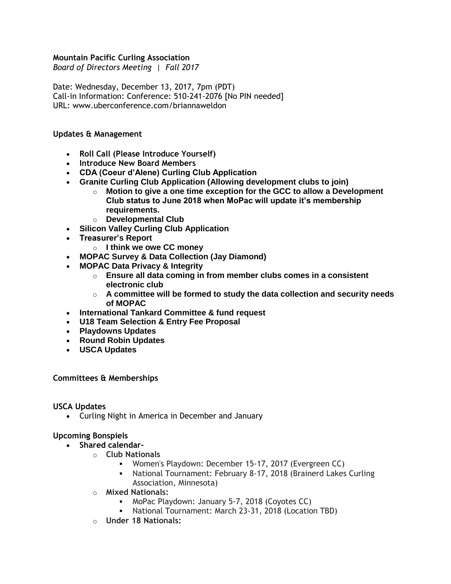### **Mountain Pacific Curling Association**

*Board of Directors Meeting | Fall 2017* 

Date: Wednesday, December 13, 2017, 7pm (PDT) Call-in Information: Conference: 510-241-2076 [No PIN needed] URL: www.uberconference.com/briannaweldon

#### **Updates & Management**

- **Roll Call (Please Introduce Yourself)**
- **Introduce New Board Members**
- **CDA (Coeur d'Alene) Curling Club Application**
- **Granite Curling Club Application (Allowing development clubs to join)** 
	- o **Motion to give a one time exception for the GCC to allow a Development Club status to June 2018 when MoPac will update it's membership requirements.**
- o **Developmental Club**
- **Silicon Valley Curling Club Application**
- **Treasurer's Report**
	- o **I think we owe CC money**
- **MOPAC Survey & Data Collection (Jay Diamond)**
- **MOPAC Data Privacy & Integrity**
	- o **Ensure all data coming in from member clubs comes in a consistent electronic club**
	- o **A committee will be formed to study the data collection and security needs of MOPAC**
- **International Tankard Committee & fund request**
- **U18 Team Selection & Entry Fee Proposal**
- **Playdowns Updates**
- **Round Robin Updates**
- **USCA Updates**

#### **Committees & Memberships**

#### **USCA Updates**

• Curling Night in America in December and January

#### **Upcoming Bonspiels**

- **Shared calendar**
	- o **Club Nationals**
		- Women's Playdown: December 15-17, 2017 (Evergreen CC)
		- National Tournament: February 8-17, 2018 (Brainerd Lakes Curling Association, Minnesota)
	- o **Mixed Nationals:**
		- **MoPac Playdown: January 5-7, 2018 (Coyotes CC)**
		- National Tournament: March 23-31, 2018 (Location TBD)
	- o **Under 18 Nationals:**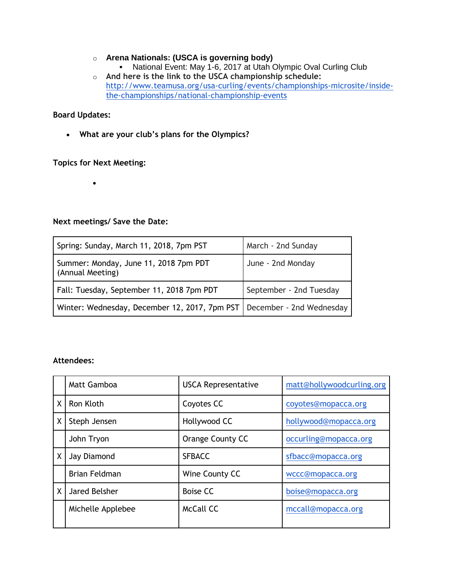# o **Arena Nationals: (USCA is governing body)**

- National Event: May 1-6, 2017 at Utah Olympic Oval Curling Club
- o **And here is the link to the USCA championship schedule:**  [http://www.teamusa.org/usa-curling/events/championships-microsite/inside](http://www.teamusa.org/usa-curling/events/championships-microsite/inside-the-championships/national-championship-events)[the-championships/national-championship-events](http://www.teamusa.org/usa-curling/events/championships-microsite/inside-the-championships/national-championship-events)

## **Board Updates:**

• **What are your club's plans for the Olympics?**

**Topics for Next Meeting:**

•

# **Next meetings/ Save the Date:**

| Spring: Sunday, March 11, 2018, 7pm PST                                  | March - 2nd Sunday      |
|--------------------------------------------------------------------------|-------------------------|
| Summer: Monday, June 11, 2018 7pm PDT<br>(Annual Meeting)                | June - 2nd Monday       |
| Fall: Tuesday, September 11, 2018 7pm PDT                                | September - 2nd Tuesday |
| Winter: Wednesday, December 12, 2017, 7pm PST   December - 2nd Wednesday |                         |

## **Attendees:**

|   | <b>Matt Gamboa</b>   | <b>USCA Representative</b> | matt@hollywoodcurling.org |
|---|----------------------|----------------------------|---------------------------|
| X | Ron Kloth            | Coyotes CC                 | coyotes@mopacca.org       |
| Χ | Steph Jensen         | Hollywood CC               | hollywood@mopacca.org     |
|   | John Tryon           | <b>Orange County CC</b>    | occurling@mopacca.org     |
| X | Jay Diamond          | <b>SFBACC</b>              | sfbacc@mopacca.org        |
|   | <b>Brian Feldman</b> | Wine County CC             | wccc@mopacca.org          |
| X | Jared Belsher        | <b>Boise CC</b>            | boise@mopacca.org         |
|   | Michelle Applebee    | <b>McCall CC</b>           | mccall@mopacca.org        |
|   |                      |                            |                           |